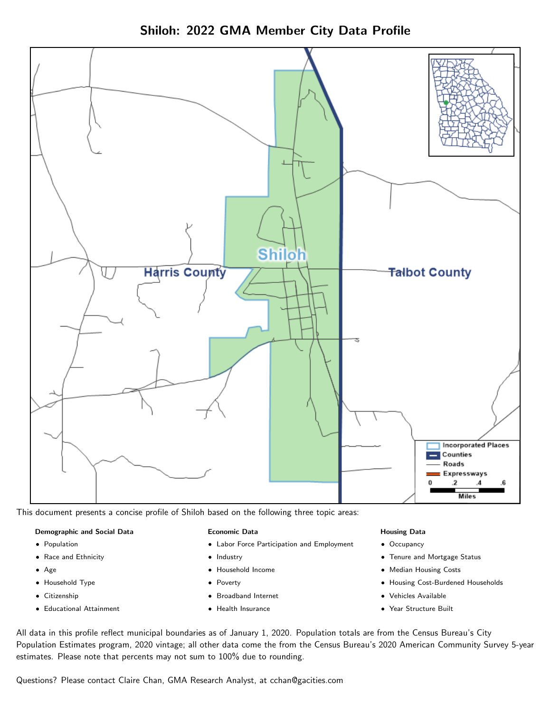Shiloh: 2022 GMA Member City Data Profile



This document presents a concise profile of Shiloh based on the following three topic areas:

#### Demographic and Social Data

- **•** Population
- Race and Ethnicity
- Age
- Household Type
- **Citizenship**
- Educational Attainment

#### Economic Data

- Labor Force Participation and Employment
- Industry
- Household Income
- Poverty
- Broadband Internet
- Health Insurance

#### Housing Data

- Occupancy
- Tenure and Mortgage Status
- Median Housing Costs
- Housing Cost-Burdened Households
- Vehicles Available
- Year Structure Built

All data in this profile reflect municipal boundaries as of January 1, 2020. Population totals are from the Census Bureau's City Population Estimates program, 2020 vintage; all other data come the from the Census Bureau's 2020 American Community Survey 5-year estimates. Please note that percents may not sum to 100% due to rounding.

Questions? Please contact Claire Chan, GMA Research Analyst, at [cchan@gacities.com.](mailto:cchan@gacities.com)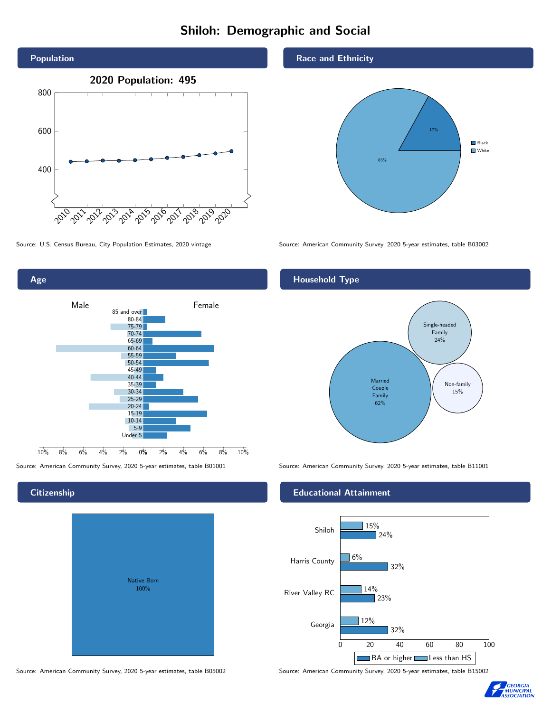# Shiloh: Demographic and Social



0% 2% 4% 6% 8% 10% Male and the male of Female 10% 8% 6% 4% 2% 85 and over 80-84 75-79 70-74 65-69 60-64 55-59 50-54 45-49 40-44 35-39 30-34 25-29 20-24 15-19  $10-14$ 5-9 Under 5

## **Citizenship**

Age

| Native Born<br>100% |  |
|---------------------|--|

Race and Ethnicity



Source: U.S. Census Bureau, City Population Estimates, 2020 vintage Source: American Community Survey, 2020 5-year estimates, table B03002

## Household Type



Source: American Community Survey, 2020 5-year estimates, table B01001 Source: American Community Survey, 2020 5-year estimates, table B11001

## Educational Attainment



Source: American Community Survey, 2020 5-year estimates, table B05002 Source: American Community Survey, 2020 5-year estimates, table B15002

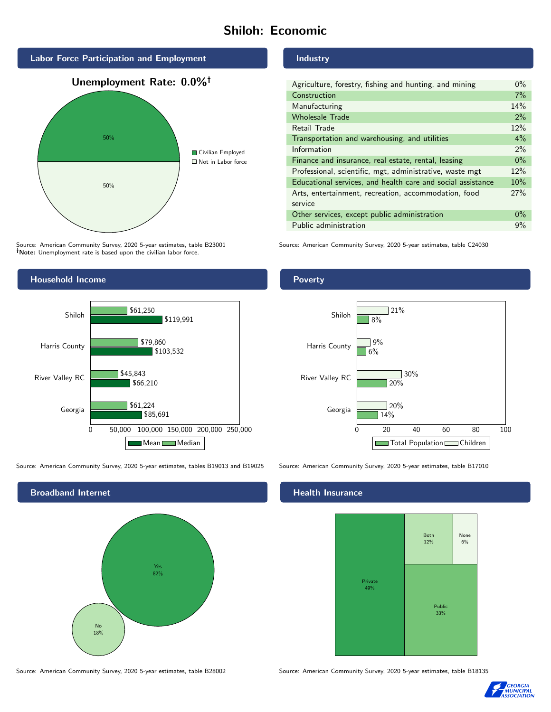# Shiloh: Economic



Source: American Community Survey, 2020 5-year estimates, table B23001 Note: Unemployment rate is based upon the civilian labor force.

## Household Income



Source: American Community Survey, 2020 5-year estimates, tables B19013 and B19025 Source: American Community Survey, 2020 5-year estimates, table B17010



Source: American Community Survey, 2020 5-year estimates, table B28002 Source: American Community Survey, 2020 5-year estimates, table B18135

#### Industry

| Agriculture, forestry, fishing and hunting, and mining      | $0\%$ |
|-------------------------------------------------------------|-------|
| Construction                                                | 7%    |
| Manufacturing                                               | 14%   |
| <b>Wholesale Trade</b>                                      | 2%    |
| Retail Trade                                                | 12%   |
| Transportation and warehousing, and utilities               |       |
| Information                                                 | 2%    |
| Finance and insurance, real estate, rental, leasing         |       |
| Professional, scientific, mgt, administrative, waste mgt    |       |
| Educational services, and health care and social assistance |       |
| Arts, entertainment, recreation, accommodation, food        |       |
| service                                                     |       |
| Other services, except public administration                |       |
| Public administration                                       |       |

Source: American Community Survey, 2020 5-year estimates, table C24030

### Poverty



## **Health Insurance**